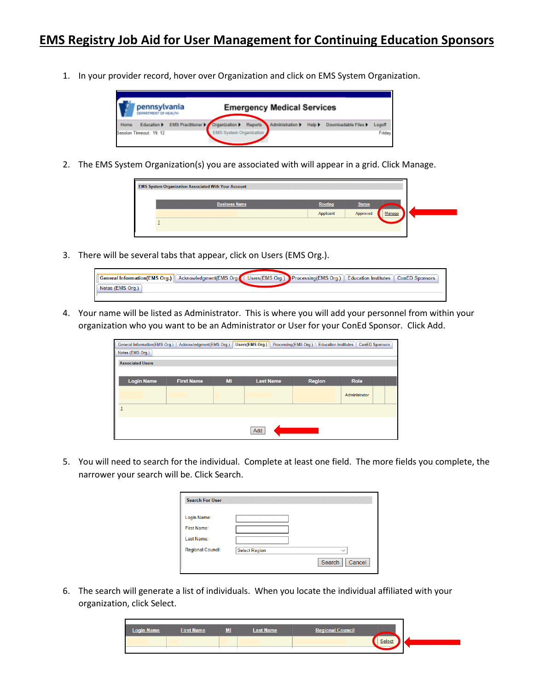1. In your provider record, hover over Organization and click on EMS System Organization.



2. The EMS System Organization(s) you are associated with will appear in a grid. Click Manage.

| <b>EMS System Organization Associated With Your Account</b> |                |               |        |
|-------------------------------------------------------------|----------------|---------------|--------|
| <b>Business Name</b>                                        | <b>Routing</b> | <b>Status</b> |        |
|                                                             | Applicant      | Approved      | Manage |
|                                                             |                |               |        |
|                                                             |                |               |        |

3. There will be several tabs that appear, click on Users (EMS Org.).

| General Information(EMS Org.) Acknowledgment(EMS Org. |  | Users(EMS Org.) Processing(EMS Org.)   Education Institutes | ConED Sponsors |
|-------------------------------------------------------|--|-------------------------------------------------------------|----------------|
| Notes (EMS Org.)                                      |  |                                                             |                |
|                                                       |  |                                                             |                |

4. Your name will be listed as Administrator. This is where you will add your personnel from within your organization who you want to be an Administrator or User for your ConEd Sponsor. Click Add.

| General Information(EMS Org.) | Acknowledgment(EMS Org.) |    | <b>Users(EMS Org.)</b> | <b>Education Institutes</b><br>Processing(EMS Org.) | <b>ConED Sponsors</b> |  |
|-------------------------------|--------------------------|----|------------------------|-----------------------------------------------------|-----------------------|--|
| Notes (EMS Org.)              |                          |    |                        |                                                     |                       |  |
| <b>Associated Users</b>       |                          |    |                        |                                                     |                       |  |
|                               |                          |    |                        |                                                     |                       |  |
| <b>Login Name</b>             | <b>First Name</b>        | MI | <b>Last Name</b>       | <b>Region</b>                                       | Role                  |  |
|                               |                          |    |                        |                                                     | Administrator         |  |
|                               |                          |    |                        |                                                     |                       |  |
|                               |                          |    | Add                    |                                                     |                       |  |

5. You will need to search for the individual. Complete at least one field. The more fields you complete, the narrower your search will be. Click Search.

| <b>Search For User</b>   |                      |                  |
|--------------------------|----------------------|------------------|
| Login Name:              |                      |                  |
| <b>First Name:</b>       |                      |                  |
| Last Name:               |                      |                  |
| <b>Regional Council:</b> | <b>Select Region</b> |                  |
|                          |                      | Cancel<br>Search |

6. The search will generate a list of individuals. When you locate the individual affiliated with your organization, click Select.

| <b>Login Name</b> | <b>First Name</b> | ML | <b>Last Name</b> | <b>Regional Council</b> |        |  |
|-------------------|-------------------|----|------------------|-------------------------|--------|--|
|                   |                   |    |                  |                         | Select |  |
|                   |                   |    |                  |                         |        |  |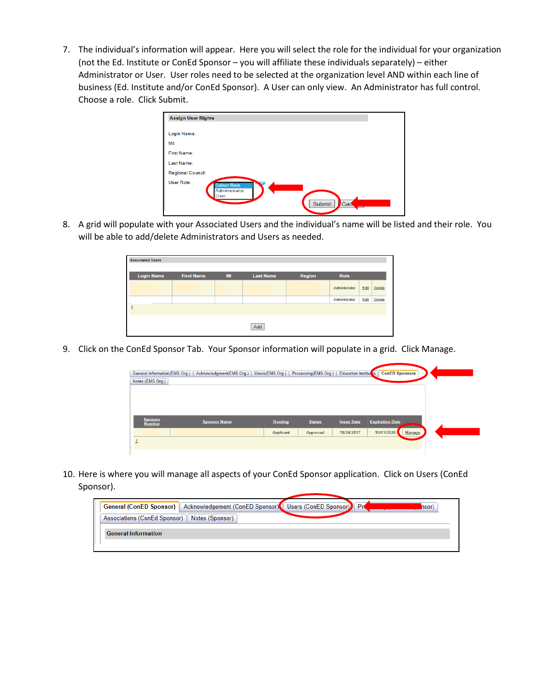7. The individual's information will appear. Here you will select the role for the individual for your organization (not the Ed. Institute or ConEd Sponsor – you will affiliate these individuals separately) – either Administrator or User. User roles need to be selected at the organization level AND within each line of business (Ed. Institute and/or ConEd Sponsor). A User can only view. An Administrator has full control. Choose a role. Click Submit.

| <b>Assign User Rights</b> |                                             |        |     |  |
|---------------------------|---------------------------------------------|--------|-----|--|
| Login Name:               |                                             |        |     |  |
| MI:                       |                                             |        |     |  |
| <b>First Name:</b>        |                                             |        |     |  |
| Last Name:                |                                             |        |     |  |
| <b>Regional Council:</b>  |                                             |        |     |  |
| User Role:                | <b>Select Role</b><br>Administrator<br>User | Submit | Can |  |

8. A grid will populate with your Associated Users and the individual's name will be listed and their role. You will be able to add/delete Administrators and Users as needed.

|  | Administrator                       | Edit | Delete |
|--|-------------------------------------|------|--------|
|  | Administrator                       | Edit | Delete |
|  | <b>NUMBER OF STREET AND CONTROL</b> |      |        |

9. Click on the ConEd Sponsor Tab. Your Sponsor information will populate in a grid. Click Manage.

| General Information(EMS Org.) | Acknowledgment(EMS Org.)   Users(EMS Org.) |                | Processing(EMS Org.) | Education Institutes | <b>ConED Sponsors</b>  |  |
|-------------------------------|--------------------------------------------|----------------|----------------------|----------------------|------------------------|--|
| Notes (EMS Org.)              |                                            |                |                      |                      |                        |  |
|                               |                                            |                |                      |                      |                        |  |
|                               |                                            |                |                      |                      |                        |  |
|                               |                                            |                |                      |                      |                        |  |
| <b>Sponsor</b>                | <b>Sponsor Name</b>                        | <b>Routing</b> | <b>Status</b>        | <b>Issue Date</b>    | <b>Expiration Date</b> |  |
| <b>Number</b>                 |                                            |                |                      |                      |                        |  |
|                               |                                            | Applicant      | Approved             | 10/24/2017           | 10/01/2020<br>Manage   |  |
| 1                             |                                            |                |                      |                      |                        |  |

10. Here is where you will manage all aspects of your ConEd Sponsor application. Click on Users (ConEd Sponsor).

|                                                | General (ConED Sponsor)   Acknowledgement (ConED Sponsor)   Users (ConED Sponsor)   Pro | nsor) |
|------------------------------------------------|-----------------------------------------------------------------------------------------|-------|
| Associations (ConEd Sponsor)   Notes (Sponsor) |                                                                                         |       |
| <b>General Information</b>                     |                                                                                         |       |
|                                                |                                                                                         |       |